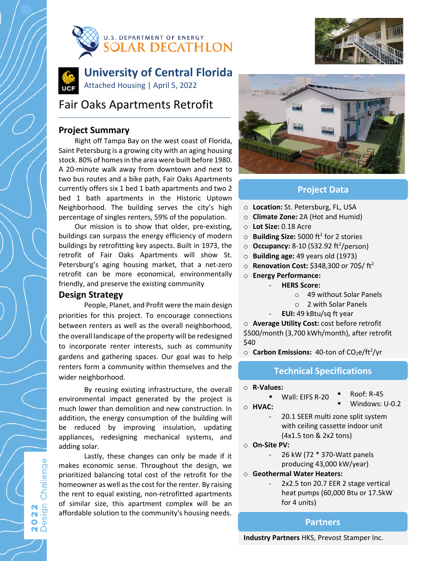





# **University of Central Florida** Attached Housing | April 5, 2022

# Fair Oaks Apartments Retrofit

## **Project Summary**

Right off Tampa Bay on the west coast of Florida, Saint Petersburg is a growing city with an aging housing stock. 80% of homes in the area were built before 1980. A 20-minute walk away from downtown and next to two bus routes and a bike path, Fair Oaks Apartments currently offers six 1 bed 1 bath apartments and two 2 bed 1 bath apartments in the Historic Uptown Neighborhood. The building serves the city's high percentage of singles renters, 59% of the population.

Our mission is to show that older, pre-existing, buildings can surpass the energy efficiency of modern buildings by retrofitting key aspects. Built in 1973, the retrofit of Fair Oaks Apartments will show St. Petersburg's aging housing market, that a net-zero retrofit can be more economical, environmentally friendly, and preserve the existing community

#### **Design Strategy**

People, Planet, and Profit were the main design priorities for this project. To encourage connections between renters as well as the overall neighborhood, the overall landscape of the property will be redesigned to incorporate renter interests, such as community gardens and gathering spaces. Our goal was to help renters form a community within themselves and the wider neighborhood.

By reusing existing infrastructure, the overall environmental impact generated by the project is much lower than demolition and new construction. In addition, the energy consumption of the building will be reduced by improving insulation, updating appliances, redesigning mechanical systems, and adding solar.

Lastly, these changes can only be made if it makes economic sense. Throughout the design, we prioritized balancing total cost of the retrofit for the homeowner as well as the cost for the renter. By raising the rent to equal existing, non-retrofitted apartments of similar size, this apartment complex will be an affordable solution to the community's housing needs.



#### **Project Data**

- o **Location:** St. Petersburg, FL, USA
- o **Climate Zone:** 2A (Hot and Humid)
- o **Lot Size:** 0.18 Acre
- o **Building Size:** 5000 ft2 for 2 stories
- 0 **Occupancy:** 8-10 (532.92 ft<sup>2</sup>/person)
- o **Building age:** 49 years old (1973)
- o **Renovation Cost:** \$348,300 or 70\$/ ft2
- o **Energy Performance:**
	- **HERS Score:**
		- o 49 without Solar Panels
		- o 2 with Solar Panels
	- **EUI:** 49 kBtu/sq ft year

o **Average Utility Cost:** cost before retrofit \$500/month (3,700 kWh/month), after retrofit \$40

o **Carbon Emissions:** 40-ton of CO<sub>2</sub>e/ft<sup>2</sup>/yr

#### **Technical Specifications**

o **R-Values:**

Roof: R-45

o **HVAC:**

- - Windows: U-0.2
- 20.1 SEER multi zone split system with ceiling cassette indoor unit (4x1.5 ton & 2x2 tons)
- o **On-Site PV:**
	- 26 kW (72 \* 370-Watt panels
	- producing 43,000 kW/year)
- o **Geothermal Water Heaters:**

Wall: EIFS R-20

2x2.5 ton 20.7 EER 2 stage vertical heat pumps (60,000 Btu or 17.5kW for 4 units)

#### **Partners**

**Industry Partners** HKS, Prevost Stamper Inc.